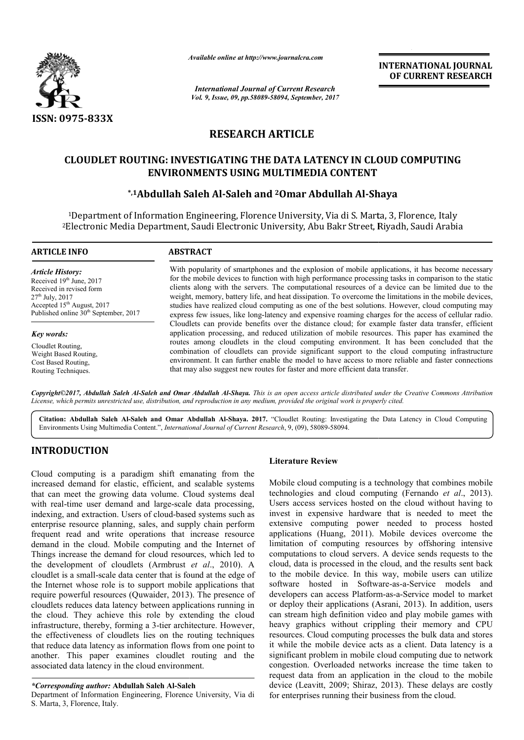

*Available online at http://www.journal http://www.journalcra.com*

*International Journal of Current Research Vol. 9, Issue, 09, pp.58089-58094, September, 2017* **INTERNATIONAL JOURNAL OF CURRENT RESEARCH** 

## **RESEARCH ARTICLE**

# CLOUDLET ROUTING: INVESTIGATING THE DATA LATENCY IN CLOUD COMPUTING<br>ENVIRONMENTS USING MULTIMEDIA CONTENT<br><sup>2</sup> Abdullah Saleh Al-Saleh and <sup>2</sup>Omar Abdullah Al-Shaya\* **ENVIRONMENTS USING MULTIMEDIA CONTENT**

### **\*,1Abdullah Saleh Al Abdullah Al-Saleh and 2Omar Abdullah Al-Shaya**

1Department of Information Engineering, Florence University, Via di S. Marta, 3, Florence, Italy <sup>1</sup>Department of Information Engineering, Florence University, Via di S. Marta, 3, Florence, Italy<br><sup>2</sup>Electronic Media Department, Saudi Electronic University, Abu Bakr Street, Riyadh, Saudi Arabia

#### **ARTICLE INFO ABSTRACT** With popularity of smartphones and the explosion of mobile applications, it has become necessary for the mobile devices to function with high performance processing tasks in comparison to the static With popularity of smartphones and the explosion of mobile applications, it has become necessary for the mobile devices to function with high performance processing tasks in comparison to the static clients along with the weight, memory, battery life, and heat dissipation. To overcome the limitations in the mobile devices, studies have realized cloud computing as one of the best solutions. However, cloud computing may express few issues, like long-latency and expensive roaming charges for the access of cellular radio. Cloudlets can provide benefits over the distance cloud; for example faster data transfer, efficient application processing, and reduced utilization of mobile resources. This paper has examined the routes among cloudlets in the cloud computing environment. It has been concluded that the combination of cloudlets can provide significant support to the cloud computing infrastructure *Article History:* Received 19th June, 2017 Received in revised form 27th July, 2017 Accepted 15<sup>th</sup> August, 2017 Published online  $30<sup>th</sup>$  September, 2017 *Key words:* Cloudlet Routing, Weight Based Routing, memory, battery life, and heat dissipation. To overcome the limitations in the mobile devices, have realized cloud computing as one of the best solutions. However, cloud computing may few issues, like long-latency and expe of cloudlets can provide significant support to the cloud compult can further enable the model to have access to more reliable and suggest new routes for faster and more efficient data transfer.

Copyright©2017, Abdullah Saleh Al-Saleh and Omar Abdullah Al-Shaya. This is an open access article distributed under the Creative Commons Attribution *License, which permits unrestricted use, distribution, and reproduction in any medium, provided the original work is properly cited. use, in medium, cited.*

that may also suggest new routes for faster and more efficient data transfer.

Citation: Abdullah Saleh Al-Saleh and Omar Abdullah Al-Shaya. 2017. "Cloudlet Routing: Investigating the Data Latency in Cloud Computing Environments Using Multimedia Content.", *International Journal of Current Research* , 9, (09), 58089-58094.

#### **INTRODUCTION**

Cost Based Routing, Routing Techniques.

Cloud computing is a paradigm shift emanating from the increased demand for elastic, efficient, and scalable systems that can meet the growing data volume. Cloud systems deal with real-time user demand and large-scale data processing, with real-time user demand and large-scale data processing, indexing, and extraction. Users of cloud-based systems such as enterprise resource planning, sales, and supply chain perform frequent read and write operations that increase resource demand in the cloud. Mobile computing and the Internet of Things increase the demand for cloud resources, which led to the development of cloudlets (Armbrust *et al*., 2010). A cloudlet is a small-scale data center that is found at the edge of the Internet whose role is to support mobile applications that cloudlet is a small-scale data center that is found at the edge of<br>the Internet whose role is to support mobile applications that<br>require powerful resources (Quwaider, 2013). The presence of cloudlets reduces data latency between applications running in the cloud. They achieve this role by extending the cloud infrastructure, thereby, forming a 3-tier architecture. However, infrastructure, thereby, forming a 3-tier architecture. However, the effectiveness of cloudlets lies on the routing techniques that reduce data latency as information flows from one point to another. This paper examines cloudlet routing and the associated data latency in the cloud environment. **Literature Review**<br>
Literature Review<br>
digm shift emanating from the<br>
ata volume. Cloud systems dal technologies and a<br>
and large-scale data processing, Users access servia<br>
sales, and supply chain perform extensive compu

Department of Information Engineering, Florence University, Via di S. Marta, 3, Florence, Italy.

environment. It can further enable the model to have access to more reliable and faster connections

Mobile cloud computing is a technology that combines mobile Mobile cloud computing is a technology that combines mobile technologies and cloud computing (Fernando *et al.*, 2013). Users access services hosted on the cloud without having to invest in expensive hardware that is needed to meet the extensive computing power needed to process hosted applications (Huang, 2011). Mobile devices overcome the limitation of computing resources by offshoring intensive computations to cloud servers. A device sends requests to the cloud, data is processed in the cloud, and the results sent back to the mobile device. In this way, mobile users can utilize software hosted in Software-as-a-Service models and developers can access Platform-as-a-Service model to market or deploy their applications (Asrani, 2013). In addition, users can stream high definition video and play mobile games with heavy graphics without crippling their memory and CPU resources. Cloud computing processes the bulk data and stores it while the mobile device acts as a client. Data latency is a significant problem in mobile cloud computing due to network congestion. Overloaded networks increase the time taken to request data from an application in the cloud to the mobile significant problem in mobile cloud computing due to network congestion. Overloaded networks increase the time taken to request data from an application in the cloud to the mobile device (Leavitt, 2009; Shiraz, 2013). Thes for enterprises running their business from the cloud. Users access services hosted on the cloud without having to invest in expensive hardware that is needed to meet the extensive computing power needed to process hosted applications (Huang, 2011). Mobile devices overcome the to cloud servers. A device sends requests to the processed in the cloud, and the results sent back<br>device. In this way, mobile users can utilize sted in Software-as-a-Service models and stream high definition video and play mobile game.<br>
y graphics without crippling their memory and<br>
urces. Cloud computing processes the bulk data and

*<sup>\*</sup>Corresponding author:* **Abdullah Saleh Al-Saleh Saleh**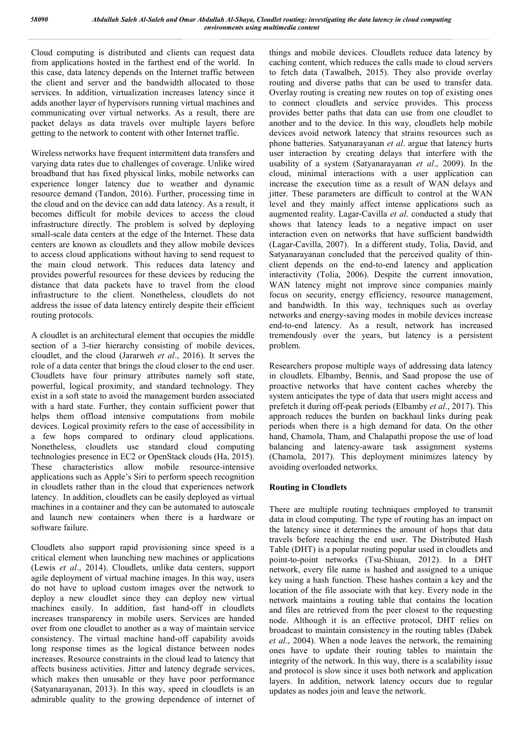Cloud computing is distributed and clients can request data from applications hosted in the farthest end of the world. In this case, data latency depends on the Internet traffic between the client and server and the bandwidth allocated to those services. In addition, virtualization increases latency since it adds another layer of hypervisors running virtual machines and communicating over virtual networks. As a result, there are packet delays as data travels over multiple layers before getting to the network to content with other Internet traffic.

Wireless networks have frequent intermittent data transfers and varying data rates due to challenges of coverage. Unlike wired broadband that has fixed physical links, mobile networks can experience longer latency due to weather and dynamic resource demand (Tandon, 2016). Further, processing time in the cloud and on the device can add data latency. As a result, it becomes difficult for mobile devices to access the cloud infrastructure directly. The problem is solved by deploying small-scale data centers at the edge of the Internet. These data centers are known as cloudlets and they allow mobile devices to access cloud applications without having to send request to the main cloud network. This reduces data latency and provides powerful resources for these devices by reducing the distance that data packets have to travel from the cloud infrastructure to the client. Nonetheless, cloudlets do not address the issue of data latency entirely despite their efficient routing protocols.

A cloudlet is an architectural element that occupies the middle section of a 3-tier hierarchy consisting of mobile devices, cloudlet, and the cloud (Jararweh *et al*., 2016). It serves the role of a data center that brings the cloud closer to the end user. Cloudlets have four primary attributes namely soft state, powerful, logical proximity, and standard technology. They exist in a soft state to avoid the management burden associated with a hard state. Further, they contain sufficient power that helps them offload intensive computations from mobile devices. Logical proximity refers to the ease of accessibility in a few hops compared to ordinary cloud applications. Nonetheless, cloudlets use standard cloud computing technologies presence in EC2 or OpenStack clouds (Ha, 2015). These characteristics allow mobile resource-intensive applications such as Apple's Siri to perform speech recognition in cloudlets rather than in the cloud that experiences network latency. In addition, cloudlets can be easily deployed as virtual machines in a container and they can be automated to autoscale and launch new containers when there is a hardware or software failure.

Cloudlets also support rapid provisioning since speed is a critical element when launching new machines or applications (Lewis *et al*., 2014). Cloudlets, unlike data centers, support agile deployment of virtual machine images. In this way, users do not have to upload custom images over the network to deploy a new cloudlet since they can deploy new virtual machines easily. In addition, fast hand-off in cloudlets increases transparency in mobile users. Services are handed over from one cloudlet to another as a way of maintain service consistency. The virtual machine hand-off capability avoids long response times as the logical distance between nodes increases. Resource constraints in the cloud lead to latency that affects business activities. Jitter and latency degrade services, which makes then unusable or they have poor performance (Satyanarayanan, 2013). In this way, speed in cloudlets is an admirable quality to the growing dependence of internet of things and mobile devices. Cloudlets reduce data latency by caching content, which reduces the calls made to cloud servers to fetch data (Tawalbeh, 2015). They also provide overlay routing and diverse paths that can be used to transfer data. Overlay routing is creating new routes on top of existing ones to connect cloudlets and service provides. This process provides better paths that data can use from one cloudlet to another and to the device. In this way, cloudlets help mobile devices avoid network latency that strains resources such as phone batteries. Satyanarayanan *et al*. argue that latency hurts user interaction by creating delays that interfere with the usability of a system (Satyanarayanan *et al*., 2009). In the cloud, minimal interactions with a user application can increase the execution time as a result of WAN delays and jitter. These parameters are difficult to control at the WAN level and they mainly affect intense applications such as augmented reality. Lagar-Cavilla *et al*. conducted a study that shows that latency leads to a negative impact on user interaction even on networks that have sufficient bandwidth (Lagar-Cavilla, 2007). In a different study, Tolia, David, and Satyanarayanan concluded that the perceived quality of thinclient depends on the end-to-end latency and application interactivity (Tolia, 2006). Despite the current innovation, WAN latency might not improve since companies mainly focus on security, energy efficiency, resource management, and bandwidth. In this way, techniques such as overlay networks and energy-saving modes in mobile devices increase end-to-end latency. As a result, network has increased tremendously over the years, but latency is a persistent problem.

Researchers propose multiple ways of addressing data latency in cloudlets. Elbamby, Bennis, and Saad propose the use of proactive networks that have content caches whereby the system anticipates the type of data that users might access and prefetch it during off-peak periods (Elbamby *et al*., 2017). This approach reduces the burden on backhaul links during peak periods when there is a high demand for data. On the other hand, Chamola, Tham, and Chalapathi propose the use of load balancing and latency-aware task assignment systems (Chamola, 2017). This deployment minimizes latency by avoiding overloaded networks.

#### **Routing in Cloudlets**

There are multiple routing techniques employed to transmit data in cloud computing. The type of routing has an impact on the latency since it determines the amount of hops that data travels before reaching the end user. The Distributed Hash Table (DHT) is a popular routing popular used in cloudlets and point-to-point networks (Tsu-Shiuan, 2012). In a DHT network, every file name is hashed and assigned to a unique key using a hash function. These hashes contain a key and the location of the file associate with that key. Every node in the network maintains a routing table that contains the location and files are retrieved from the peer closest to the requesting node. Although it is an effective protocol, DHT relies on broadcast to maintain consistency in the routing tables (Dabek *et al*., 2004). When a node leaves the network, the remaining ones have to update their routing tables to maintain the integrity of the network. In this way, there is a scalability issue and protocol is slow since it uses both network and application layers. In addition, network latency occurs due to regular updates as nodes join and leave the network.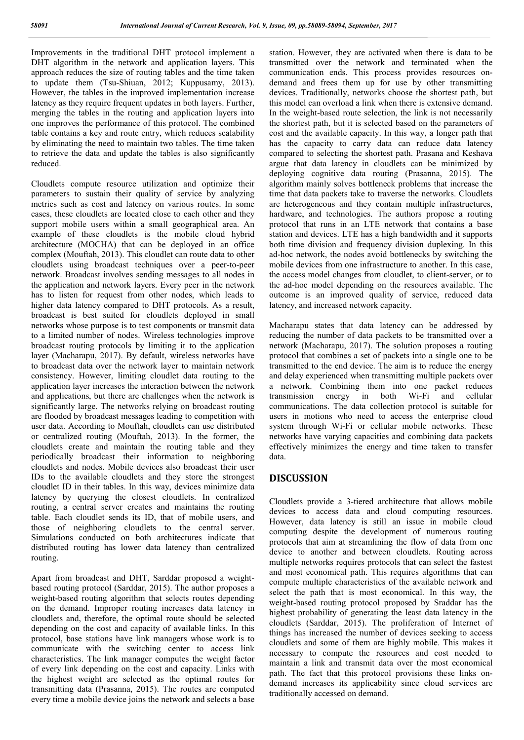Improvements in the traditional DHT protocol implement a DHT algorithm in the network and application layers. This approach reduces the size of routing tables and the time taken to update them (Tsu-Shiuan, 2012; Kuppusamy, 2013). However, the tables in the improved implementation increase latency as they require frequent updates in both layers. Further, merging the tables in the routing and application layers into one improves the performance of this protocol. The combined table contains a key and route entry, which reduces scalability by eliminating the need to maintain two tables. The time taken to retrieve the data and update the tables is also significantly reduced.

Cloudlets compute resource utilization and optimize their parameters to sustain their quality of service by analyzing metrics such as cost and latency on various routes. In some cases, these cloudlets are located close to each other and they support mobile users within a small geographical area. An example of these cloudlets is the mobile cloud hybrid architecture (MOCHA) that can be deployed in an office complex (Mouftah, 2013). This cloudlet can route data to other cloudlets using broadcast techniques over a peer-to-peer network. Broadcast involves sending messages to all nodes in the application and network layers. Every peer in the network has to listen for request from other nodes, which leads to higher data latency compared to DHT protocols. As a result, broadcast is best suited for cloudlets deployed in small networks whose purpose is to test components or transmit data to a limited number of nodes. Wireless technologies improve broadcast routing protocols by limiting it to the application layer (Macharapu, 2017). By default, wireless networks have to broadcast data over the network layer to maintain network consistency. However, limiting cloudlet data routing to the application layer increases the interaction between the network and applications, but there are challenges when the network is significantly large. The networks relying on broadcast routing are flooded by broadcast messages leading to competition with user data. According to Mouftah, cloudlets can use distributed or centralized routing (Mouftah, 2013). In the former, the cloudlets create and maintain the routing table and they periodically broadcast their information to neighboring cloudlets and nodes. Mobile devices also broadcast their user IDs to the available cloudlets and they store the strongest cloudlet ID in their tables. In this way, devices minimize data latency by querying the closest cloudlets. In centralized routing, a central server creates and maintains the routing table. Each cloudlet sends its ID, that of mobile users, and those of neighboring cloudlets to the central server. Simulations conducted on both architectures indicate that distributed routing has lower data latency than centralized routing.

Apart from broadcast and DHT, Sarddar proposed a weightbased routing protocol (Sarddar, 2015). The author proposes a weight-based routing algorithm that selects routes depending on the demand. Improper routing increases data latency in cloudlets and, therefore, the optimal route should be selected depending on the cost and capacity of available links. In this protocol, base stations have link managers whose work is to communicate with the switching center to access link characteristics. The link manager computes the weight factor of every link depending on the cost and capacity. Links with the highest weight are selected as the optimal routes for transmitting data (Prasanna, 2015). The routes are computed every time a mobile device joins the network and selects a base station. However, they are activated when there is data to be transmitted over the network and terminated when the communication ends. This process provides resources ondemand and frees them up for use by other transmitting devices. Traditionally, networks choose the shortest path, but this model can overload a link when there is extensive demand. In the weight-based route selection, the link is not necessarily the shortest path, but it is selected based on the parameters of cost and the available capacity. In this way, a longer path that has the capacity to carry data can reduce data latency compared to selecting the shortest path. Prasana and Keshava argue that data latency in cloudlets can be minimized by deploying cognitive data routing (Prasanna, 2015). The algorithm mainly solves bottleneck problems that increase the time that data packets take to traverse the networks. Cloudlets are heterogeneous and they contain multiple infrastructures, hardware, and technologies. The authors propose a routing protocol that runs in an LTE network that contains a base station and devices. LTE has a high bandwidth and it supports both time division and frequency division duplexing. In this ad-hoc network, the nodes avoid bottlenecks by switching the mobile devices from one infrastructure to another. In this case, the access model changes from cloudlet, to client-server, or to the ad-hoc model depending on the resources available. The outcome is an improved quality of service, reduced data latency, and increased network capacity.

Macharapu states that data latency can be addressed by reducing the number of data packets to be transmitted over a network (Macharapu, 2017). The solution proposes a routing protocol that combines a set of packets into a single one to be transmitted to the end device. The aim is to reduce the energy and delay experienced when transmitting multiple packets over a network. Combining them into one packet reduces transmission energy in both Wi-Fi and cellular transmission energy in both Wi-Fi and cellular communications. The data collection protocol is suitable for users in motions who need to access the enterprise cloud system through Wi-Fi or cellular mobile networks. These networks have varying capacities and combining data packets effectively minimizes the energy and time taken to transfer data.

#### **DISCUSSION**

Cloudlets provide a 3-tiered architecture that allows mobile devices to access data and cloud computing resources. However, data latency is still an issue in mobile cloud computing despite the development of numerous routing protocols that aim at streamlining the flow of data from one device to another and between cloudlets. Routing across multiple networks requires protocols that can select the fastest and most economical path. This requires algorithms that can compute multiple characteristics of the available network and select the path that is most economical. In this way, the weight-based routing protocol proposed by Sraddar has the highest probability of generating the least data latency in the cloudlets (Sarddar, 2015). The proliferation of Internet of things has increased the number of devices seeking to access cloudlets and some of them are highly mobile. This makes it necessary to compute the resources and cost needed to maintain a link and transmit data over the most economical path. The fact that this protocol provisions these links ondemand increases its applicability since cloud services are traditionally accessed on demand.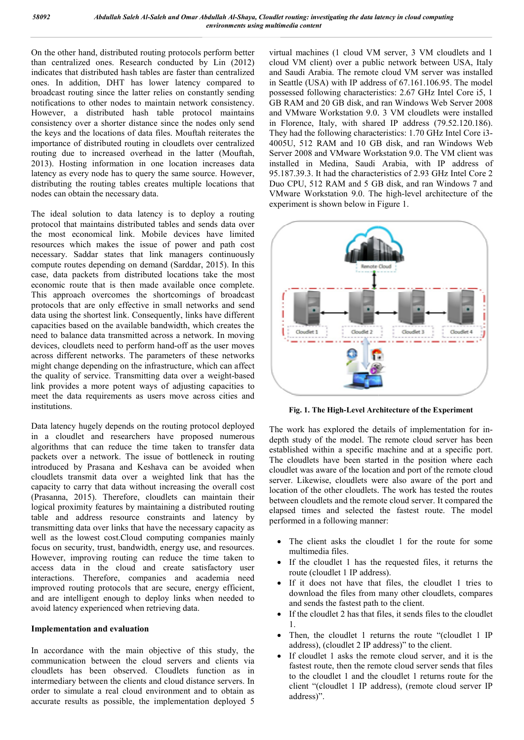On the other hand, distributed routing protocols perform better than centralized ones. Research conducted by Lin (2012) indicates that distributed hash tables are faster than centralized ones. In addition, DHT has lower latency compared to broadcast routing since the latter relies on constantly sending notifications to other nodes to maintain network consistency. However, a distributed hash table protocol maintains consistency over a shorter distance since the nodes only send the keys and the locations of data files. Mouftah reiterates the importance of distributed routing in cloudlets over centralized broadcast routing since the latter relies on constantly sending<br>notifications to other nodes to maintain network consistency.<br>However, a distributed hash table protocol maintains<br>consistency over a shorter distance since t 2013). Hosting information in one location increases data latency as every node has to query the same source. However, distributing the routing tables creates multiple locations that nodes can obtain the necessary data.

The ideal solution to data latency is to deploy a routing protocol that maintains distributed tables and sends data over the most economical link. Mobile devices have limited resources which makes the issue of power and path cost necessary. Saddar states that link managers continuously compute routes depending on demand (Sarddar, 2015). In this case, data packets from distributed locations take the most economic route that is then made available once complete. This approach overcomes the shortcomings of broadcast protocols that are only effective in small networks and send data using the shortest link. Consequently, links have different capacities based on the available bandwidth, which creates the need to balance data transmitted across a network. In moving devices, cloudlets need to perform hand-off as the user moves across different networks. The parameters of these networks might change depending on the infrastructure, which can affect the quality of service. Transmitting data over a weight-based link provides a more potent ways of adjusting capacities to meet the data requirements as users move across cities and institutions. . Hosting information in one location increases data y as every node has to query the same source. However, outing the routing tables creates multiple locations that can obtain the necessary data.<br>
ideal solution to data l is packets from distributed locations take the most<br>route that is then made available once complete.<br>roach overcomes the shortcomings of broadcast<br>that are only effective in small networks and send<br>the shortest link. Conse

Data latency hugely depends on the routing protocol deployed in a cloudlet and researchers have proposed numerous algorithms that can reduce the time taken to transfer data packets over a network. The issue of bottleneck in routing introduced by Prasana and Keshava can be avoided when cloudlets transmit data over a weighted link that has the capacity to carry that data without increasing the overall cost (Prasanna, 2015). Therefore, cloudlets can maintain their Data latency hugely depends on the routing protocol deployed<br>in a cloudlet and researchers have proposed numerous<br>algorithms that can reduce the time taken to transfer data<br>packets over a network. The issue of bottleneck i table and address resource constraints and latency by transmitting data over links that have the necessary capacity as well as the lowest cost.Cloud computing companies mainly focus on security, trust, bandwidth, energy use, and resources. However, improving routing can reduce the time taken to access data in the cloud and create satisfactory user interactions. Therefore, companies and academia need improved routing protocols that are secure, energy efficient, and are intelligent enough to deploy links when needed to avoid latency experienced when retrieving data. ver, improving routing can reduce the time taken to<br>s data in the cloud and create satisfactory user<br>ctions. Therefore, companies and academia need<br>ved routing protocols that are secure, energy efficient,<br>re intelligent en

#### **Implementation and evaluation**

In accordance with the main objective of this study, the communication between the cloud servers and clients via cloudlets has been observed. Cloudlets f intermediary between the clients and cloud distance servers. In order to simulate a real cloud environment and to obtain as accurate results as possible, the implementation deployed 5 virtual machines (1 cloud VM server, 3 VM cloudlets and 1 cloud VM client) over a public network between USA, Italy and Saudi Arabia. The remote cloud VM server was installed in Seattle (USA) with IP address of 67.161.106.95. The model possessed following characteristics: 2.67 GHz Intel Core i5, 1 GB RAM and 20 GB disk, and ran Windows Web Server 2008 and VMware Workstation 9.0. 3 VM cloudlets were installed in Florence, Italy, with shared IP address (79.52.120.186). They had the following characteristics: 1.70 GHz Intel Core i3 4005U, 512 RAM and 10 GB disk, and ran Windows Web Server 2008 and VMware Workstation 9.0. The VM client was installed in Medina, Saudi Arabia, with IP address of 95.187.39.3. It had the characteristics of 2.93 GHz Intel Core 2 Duo CPU, 512 RAM and 5 GB disk, and ran Windows 7 and VMware Workstation 9.0. The high experiment is shown below in Figure 1. nes (1 cloud VM server, 3 VM cloudlets and 1 ent) over a public network between USA, Italy<br>abia. The remote cloud VM server was installed<br>A) with IP address of 67.161.106.95. The model<br>owing characteristics: 2.67 GHz Intel Server 2008 and VMware Workstation 9.0. The VM client was<br>installed in Medina, Saudi Arabia, with IP address of<br>95.187.39.3. It had the characteristics of 2.93 GHz Intel Core 2<br>Duo CPU, 512 RAM and 5 GB disk, and ran Windo



**Fig. 1. The High-Level Architecture of the Experiment Level** 

The work has explored the details of implementation for indepth study of the model. The remote cloud server has been established within a specific machine and at a specific port. The cloudlets have been started in the position where each cloudlet was aware of the location and port of the remote cloud server. Likewise, cloudlets were also aware of the port and location of the other cloudlets. The work has tested the routes between cloudlets and the remote cloud server. It compared the elapsed times and selected the fastest route. The model performed in a following manner: lished within a specific machine and at a specific port.<br>cloudlets have been started in the position where each<br>llet was aware of the location and port of the remote cloud<br>r. Likewise, cloudlets were also aware of the port detain of the other cloudlets. The work has tested the routes<br>between cloudlets and the remote cloud server. It compared the<br>elapsed times and selected the fastest route. The model<br>performed in a following manner:<br>• The cl

- The client asks the cloudlet 1 for the route for some multimedia files.
- If the cloudlet 1 has the requested files, it returns the route (cloudlet 1 IP address).
- If it does not have that files, the cloudlet 1 tries to download the files from many other cloudlets, compares and sends the fastest path to the client. If the cloudlet 1 has the requested files, it returns route (cloudlet 1 IP address).<br>If it does not have that files, the cloudlet 1 tries<br>download the files from many other cloudlets, compaind sends the fastest path to the
- If the cloudlet 2 has that files, it sends files to the cloudlet 1.
- Then, the cloudlet 1 returns the route "(cloudlet 1 IP address), (cloudlet 2 IP address)" to the client.
- If cloudlet 1 asks the remote cloud server, and it is the fastest route, then the remote cloud server sends that files to the cloudlet 1 and the cloudlet 1 returns route for the client "(cloudlet 1 IP address), (remote cloud server IP address)".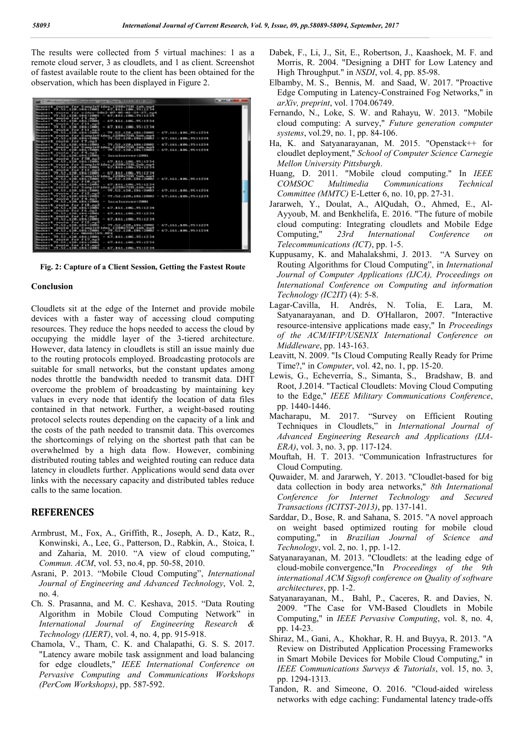The results were collected from 5 virtual machines: 1 as a remote cloud server, 3 as cloudlets, and 1 as client. Screenshot of fastest available route to the client has been obtained for the observation, which has been displayed in Figure 2.

| an CAW-ndow/AyatemU'scendese - Jeva Claret 79.52.1-20.186-2001                                                                                                                                                  | an analysis law<br>m |
|-----------------------------------------------------------------------------------------------------------------------------------------------------------------------------------------------------------------|----------------------|
| Request route for CampleVideo (200x220 inb.mpt<br>网络红毛亚目 1999-1930-11-2000-11-01-2000-2000 - 格罗--美女士--生物称--学校--主义/选择                                                                                            | a.                   |
| 第6月20日发展,他自己影响,我们也一切让我的自己的朋友第一的第一种第一部第一部第一部第一台通信                                                                                                                                                                |                      |
| Route: 79 (52,128,186) 2001<br>$-62.7$ $+61.106$ $-95.1222$                                                                                                                                                     |                      |
| Responsible mostles form fit, must                                                                                                                                                                              |                      |
| <b>Margaret III - 1979 - 1939 - 1939 - 1940 - 1940 - 1950 - 1950 - 1950 - 1950 - 1950 - 1950 - 1950 - 1950 - 1950</b><br>一、西学、田秀生、田田県、守護士を定用す                                                                   |                      |
| Request route for fil no?<br>$= 67.161.106.3511234$<br>Maximum 179 52 178 188 1200 1                                                                                                                            |                      |
| Bearnest route for FIL could                                                                                                                                                                                    |                      |
| $-677.161.106.751114$<br>- 「アナ、国語、主義群」、主義等に交換事業<br>「マタ」をは……1次数で1時16日交通数は<br><b>November 11</b>                                                                                                                  |                      |
| Resumes route for Samstellides 19882208 Sea Sea                                                                                                                                                                 |                      |
| $-75.5$ $-5.2$ $-1.20$ $-100$ $-1200$<br>672.161.106.25-11234<br>Rosete : 79.52.120.188.2000<br>I                                                                                                               |                      |
| Beamest route for<br>- 79.52.120.186.12000<br><b>Marsison 1 - 1999 - 1998 - 1999 - 1999 - 1999 000 000</b><br>第7章: 毛病生,血细胞与细胞血压结核体<br><b>STATE</b>                                                              |                      |
| For SampleDideo 1200x720 inb.not<br>How considered the constant than                                                                                                                                            |                      |
| 672.161.186.75 11234<br>279 、「日立、生之神」、生神名:121時時期<br>第6998年1 - 学生、52 - 1288、1816 128831<br><b>STATE</b><br>$\overline{\phantom{a}}$                                                                              |                      |
| Request route for final                                                                                                                                                                                         |                      |
| Locus Location research 12,000 L<br>Roseter: 77.52.1200.101612001<br><b>STAR</b><br>Recovered possible for \$28, and                                                                                            |                      |
| Roseter 1 79 52 120 100 1016 20001<br>$-67.101.100.7001.$                                                                                                                                                       |                      |
| 14-4-12095720 2-5-x page<br>Reguest route for Samplett                                                                                                                                                          |                      |
| - 松沢にまるましま時間に学校は主任時期<br>Монко I 99 . 62 . 120 . 18 6 : 2001                                                                                                                                                     |                      |
| Responsible mouther form file mpdf                                                                                                                                                                              |                      |
| $= 67.161.106.3611234$<br>Novice   99 - 99 - 199<br>10 La page 11 pe 13                                                                                                                                         |                      |
| Library 1 2010 Block 2010 Sandar ranged<br><b>Bassings and</b><br><b>STORES</b><br><b>COL</b><br><b>STATISTICS</b><br>$= 6.71, 164, 106, 165, 18234$<br>- 99 582 120 100 12000<br>网络绿灰褐 计二字字 人名尼 人名尼赫人姓 网络主义精神生 |                      |
| Resuest route for fill.null                                                                                                                                                                                     |                      |
| 网络科考斯兰 学学会系统 计主题数字系统 机定期数化<br>- 67、161、100、2010、2010                                                                                                                                                            |                      |
| Request poute for SampleVideo_1200x720_1mb.ng4                                                                                                                                                                  |                      |
| 67.161.106.95.12234<br>ー、今年に出会しまで終しま開始は文明時代<br>Marsison   179 - 52 - 129 - 129 - 139 - 139<br>$\sim$<br>Request route for fig.np3                                                                               |                      |
| 672.161.186.7511234<br>(29) 、四2) 、12年、18年、12月時間<br>$rac{1}{2}$<br>第6998年1 - 学生、52 - 1288、1816-128831<br>$\frac{1}{2} \left( \frac{1}{2} \right) \left( \frac{1}{2} \right)$                                     |                      |
| Request route for Files                                                                                                                                                                                         |                      |
| Locale Increase (2001)<br>Route: 77.52.128.184.12001<br><b>COL</b>                                                                                                                                              |                      |
| Services of providers<br><b>State St</b>                                                                                                                                                                        |                      |
| Rosete : 79 - 52 - 120 - 136 5 128 5 1<br>67、五63、1006、775=12710<br>Because of reactor for financial                                                                                                             |                      |
| $-62.161.106.2511224$<br>Noute: 79.52.128.186.12001                                                                                                                                                             |                      |
| Beaument route for F7, noll                                                                                                                                                                                     |                      |
| 67.861.106.75:1234<br><b>Marsister II</b><br>$\sim$<br>- 775                                                                                                                                                    |                      |
| Becomes repute for f12.ppf<br>$-67.161.1067511234$                                                                                                                                                              |                      |
| - 「アナ」「三菱」を受験し、生産者に交換事業<br>网络绿皮柳 1 「学生」反常 … 生活器 … 生理 6-1 足精精生<br>Resuest route for Samulet<br>Edward ESISBN V208-3 miles recent                                                                                 |                      |
| $-751.52.128.188.12882$<br>$-0.72.161.10625.01234$<br>Rosete : 79.52.120.186.2800                                                                                                                               |                      |
| PROBLEM SHOW, PUMP<br>Becomes it request from                                                                                                                                                                   |                      |
| 一、传学,其实生,其他的小学院工业部门生<br>Marsison 1 - 278 - 531 - 1398 -<br>1010110-112210-0092                                                                                                                                  |                      |
| Request route for fifteral<br>$-67.161.106.7511234$<br>网络新闻画片 "罗斯,反常,生活都,生用'陈玉笔精精生                                                                                                                              |                      |
| Resource coute for f19, and                                                                                                                                                                                     |                      |
| $-67.161.1067511234$<br>Rowstwin 771-52-1200-1010-12000                                                                                                                                                         |                      |

**Fig. 2: Capture of a Client Session, Getting the Fastest Route**

#### **Conclusion**

Cloudlets sit at the edge of the Internet and provide mobile devices with a faster way of accessing cloud computing resources. They reduce the hops needed to access the cloud by occupying the middle layer of the 3-tiered architecture. However, data latency in cloudlets is still an issue mainly due to the routing protocols employed. Broadcasting protocols are suitable for small networks, but the constant updates among nodes throttle the bandwidth needed to transmit data. DHT overcome the problem of broadcasting by maintaining key values in every node that identify the location of data files contained in that network. Further, a weight protocol selects routes depending on the capacity of a link and the costs of the path needed to transmit data. This overcomes the shortcomings of relying on the shortest path that can be overwhelmed by a high data flow. However, combining distributed routing tables and weighted routing can reduce data latency in cloudlets further. Applications would send data over links with the necessary capacity and distributed tables reduce calls to the same location. e 3-tiered architecture.<br>still an issue mainly due<br>roadcasting protocols are<br>constant updates among<br>l to transmit data. DHT<br>ing by maintaining key<br>he location of data files<br>a weight-based routing

#### **REFERENCES**

- Armbrust, M., Fox, A., Griffith, R., Joseph, A. D., Katz, R., Konwinski, A., Lee, G., Patterson, D., Rabkin, A., Stoica, I. and Zaharia, M. 2010. "A view of cloud computing," *Commun. ACM*, vol. 53, no.4, pp. 50-58, 2010. inks with the necessary capacity and distri<br>
ralls to the same location.<br> **REFERENCES**<br>
Armbrust, M., Fox, A., Griffith, R., Josep<br>
Konwinski, A., Lee, G., Patterson, D., Ra<br>
and Zaharia, M. 2010. "A view of<br>
Commun. ACM,
- Asrani, P. 2013. "Mobile Cloud Computing", *International Journal of Engineering and Advanced Technology* , Vol. 2, no. 4.
- Ch. S. Prasanna, and M. C. Keshava, 2015. "Data Routing Algorithm in Mobile Cloud Computing Network" in *International Journal of Engineering Research &*  Technology (IJERT), vol. 4, no. 4, pp. 915-918.
- Chamola, V., Tham, C. K. and Chalapathi, G. S. S. 2017. "Latency aware mobile task assignment and load balancing for edge cloudlets," *IEEE International Conference on Pervasive Computing and Communications Workshops (PerCom Workshops)*, pp. 587-592.
- Dabek, F., Li, J., Sit, E., Robertson, J., Kaashoek, M. F. and Morris, R. 2004. "Designing a DHT for Low Latency and High Throughput." in *NSDI*, vol. 4, pp. 85-98. Li, J., Sit, E., Robertson, J., Kaashoek, M.<br>R. 2004. "Designing a DHT for Low Laten<br>roughput." in *NSDI*, vol. 4, pp. 85-98.
- Elbamby, M. S., Bennis, M. and Saad, W. 2017. "Proactive bamby, M. S., Bennis, M. and Saad, W. 2017. "Proactive Edge Computing in Latency-Constrained Fog Networks," in *arXiv, preprint*, vol. 1704.06749.
- Fernando, N., Loke, S. W. and Rahayu, W. 2013. "Mobile 2013. cloud computing: A survey," *Future generation computer*  systems, vol.29, no. 1, pp. 84-106.
- Ha, K. and Satyanarayanan, M. 2015. "Openstack++ for cloudlet deployment," *School of Computer Science Carnegie Science Mellon University Pittsburgh* .
- Huang, D. 2011. "Mobile cloud computing." In IEEE  $COMSOC$  *Multimedia Communications* Committee (MMTC) E-Letter 6, no. 10, pp. 27-31. *Technical*
- Jararweh, Y., Doulat, A., AlQudah, O., Ahmed, E., Al-Ayyoub, M. and Benkhelifa, E. 2016. "The future of mobile Ayyoub, M. and Benkhelifa, E. 2016. "The future of mobile cloud computing: Integrating cloudlets and Mobile Edge Computing," *23rd International Conference on Telecommunications (ICT)*, pp. 1-5. *Conference*
- Kuppusamy, K. and Mahalakshmi, J. 2013. "A Survey on uppusamy, K. and Mahalakshmi, J. 2013. "A Survey on Routing Algorithms for Cloud Computing", in *International Journal of Computer Applications (IJCA), Proceedings on Journal of Computer Applications (IJCA), Proceedings on International Conference on Computing and information Technology (IC2IT)* (4): 5-8.
- Lagar-Cavilla, H. Andrés, N. Tolia, E. Lara, M. Satyanarayanan, and D. O'Hallaron, 2007. "Interactive resource-intensive and D. O'Hallaron, 2007. "Interactive resource-intensive applications made easy," In *Proceedings of the ACM/IFIP/USENIX International Conference on ACM/IFIP/USENIX Middleware*, pp. 143-163.
- Leavitt, N. 2009. "Is Cloud Computing Really Ready for Prime avitt, N. 2009. "Is Cloud Computing Really Re<br>Time?," in *Computer*, vol. 42, no. 1, pp. 15-20.
- Lewis, G., Echeverría, S., Simanta, S., Bradshaw, B. and Root, J.2014. "Tactical Cloudlets: Moving Cloud Computing to the Edge," IEEE Military Communications Conference, pp. 1440-1446.
- Macharapu, M. 2017. "Survey on Efficient Routing Techniques in Cloudlets," in Techniques in *International Journal of*  Advanced Engineering Research and Applications (IJA-*ERA*), vol. 3, no. 3, pp. 117-124.
- Mouftah, H. T. 2013. "Communication Infra Infrastructures for Cloud Computing.
- Quwaider, M. and Jararweh, Y. 2013. "Cloudlet-based for big data collection in body area networks," 8th International Conference for Internet Technology and Secured *Transactions (ICITST-2013)*, pp. 137 137-141.
- Sarddar, D., Bose, R. and Sahana, S. 2015. "A novel approach on weight based optimized routing for mobile cloud computing," in *Brazilian Journal of Science and* Technology, vol. 2, no. 1, pp. 1-12.
- Satyanarayanan, M. 2013. "Cloudlets: at the leading edge of ttyanarayanan, M. 2013. "Cloudlets: at the leading edge of cloud-mobile convergence,"In *Proceedings of the 9th* international ACM Sigsoft conference on Quality of software *architectures*, pp. 1-2.
- Satyanarayanan, M., Bahl, P., Caceres, R. and Davies, N. 2009. "The Case for VM-Based Cloudlets in Mobile 2009. "The Case for VM-Based Cloudlets in Mobile Computing," in *IEEE Pervasive Computing* , vol. 8, no. 4, pp. 14-23.
- Shiraz, M., Gani, A., Khokhar, R. H. and Buyya, R. 2013. "A Review on Distributed Application Processing Frameworks Review on Distributed Application Processing Frameworks in Smart Mobile Devices for Mobile Cloud Computing," in *IEEE Communications Surveys & Tutorials*, vol. 15, no. 3, pp. 1294-1313.
- Tandon, R. and Simeone, O. 2016. "Cloud-aided wireless networks with edge caching: Fundamental latency trade-offs